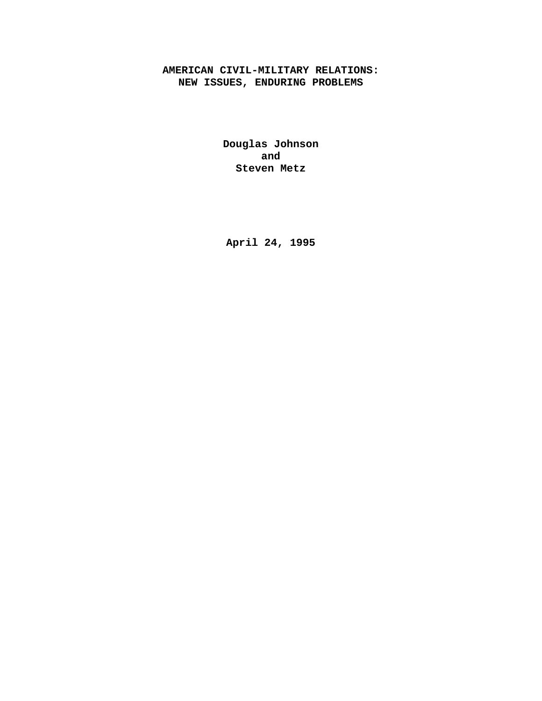# **AMERICAN CIVIL-MILITARY RELATIONS: NEW ISSUES, ENDURING PROBLEMS**

**Douglas Johnson and Steven Metz**

**April 24, 1995**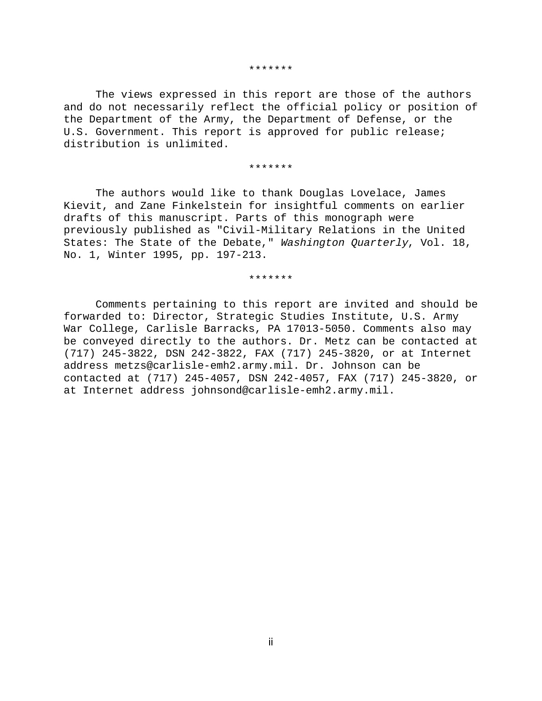#### \*\*\*\*\*\*\*

The views expressed in this report are those of the authors and do not necessarily reflect the official policy or position of the Department of the Army, the Department of Defense, or the U.S. Government. This report is approved for public release; distribution is unlimited.

#### \*\*\*\*\*\*\*

The authors would like to thank Douglas Lovelace, James Kievit, and Zane Finkelstein for insightful comments on earlier drafts of this manuscript. Parts of this monograph were previously published as "Civil-Military Relations in the United States: The State of the Debate," Washington Quarterly, Vol. 18, No. 1, Winter 1995, pp. 197-213.

#### \*\*\*\*\*\*\*

Comments pertaining to this report are invited and should be forwarded to: Director, Strategic Studies Institute, U.S. Army War College, Carlisle Barracks, PA 17013-5050. Comments also may be conveyed directly to the authors. Dr. Metz can be contacted at (717) 245-3822, DSN 242-3822, FAX (717) 245-3820, or at Internet address metzs@carlisle-emh2.army.mil. Dr. Johnson can be contacted at (717) 245-4057, DSN 242-4057, FAX (717) 245-3820, or at Internet address johnsond@carlisle-emh2.army.mil.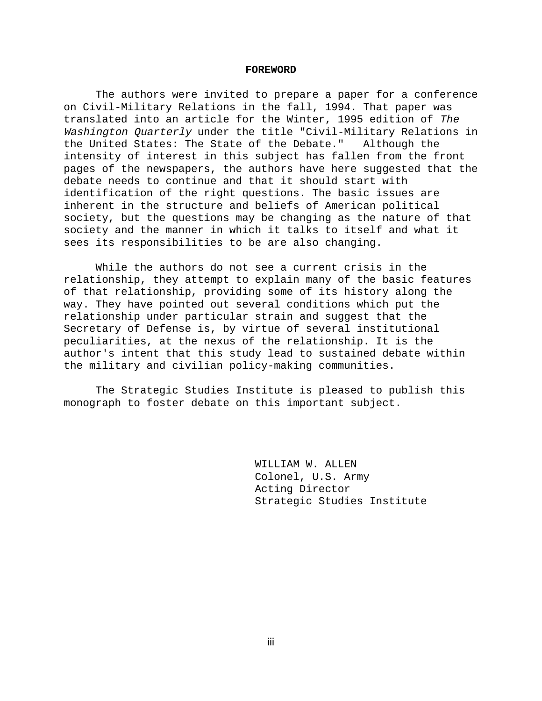#### **FOREWORD**

The authors were invited to prepare a paper for a conference on Civil-Military Relations in the fall, 1994. That paper was translated into an article for the Winter, 1995 edition of The Washington Quarterly under the title "Civil-Military Relations in the United States: The State of the Debate." Although the intensity of interest in this subject has fallen from the front pages of the newspapers, the authors have here suggested that the debate needs to continue and that it should start with identification of the right questions. The basic issues are inherent in the structure and beliefs of American political society, but the questions may be changing as the nature of that society and the manner in which it talks to itself and what it sees its responsibilities to be are also changing.

While the authors do not see a current crisis in the relationship, they attempt to explain many of the basic features of that relationship, providing some of its history along the way. They have pointed out several conditions which put the relationship under particular strain and suggest that the Secretary of Defense is, by virtue of several institutional peculiarities, at the nexus of the relationship. It is the author's intent that this study lead to sustained debate within the military and civilian policy-making communities.

The Strategic Studies Institute is pleased to publish this monograph to foster debate on this important subject.

> WILLIAM W. ALLEN Colonel, U.S. Army Acting Director Strategic Studies Institute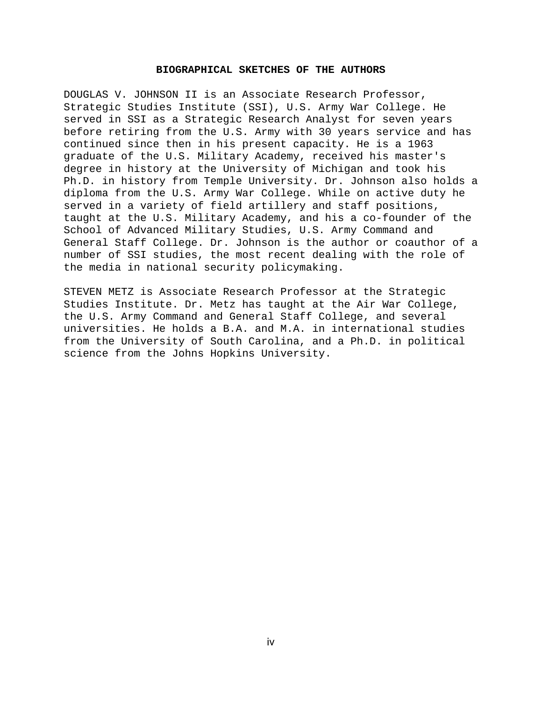### **BIOGRAPHICAL SKETCHES OF THE AUTHORS**

DOUGLAS V. JOHNSON II is an Associate Research Professor, Strategic Studies Institute (SSI), U.S. Army War College. He served in SSI as a Strategic Research Analyst for seven years before retiring from the U.S. Army with 30 years service and has continued since then in his present capacity. He is a 1963 graduate of the U.S. Military Academy, received his master's degree in history at the University of Michigan and took his Ph.D. in history from Temple University. Dr. Johnson also holds a diploma from the U.S. Army War College. While on active duty he served in a variety of field artillery and staff positions, taught at the U.S. Military Academy, and his a co-founder of the School of Advanced Military Studies, U.S. Army Command and General Staff College. Dr. Johnson is the author or coauthor of a number of SSI studies, the most recent dealing with the role of the media in national security policymaking.

STEVEN METZ is Associate Research Professor at the Strategic Studies Institute. Dr. Metz has taught at the Air War College, the U.S. Army Command and General Staff College, and several universities. He holds a B.A. and M.A. in international studies from the University of South Carolina, and a Ph.D. in political science from the Johns Hopkins University.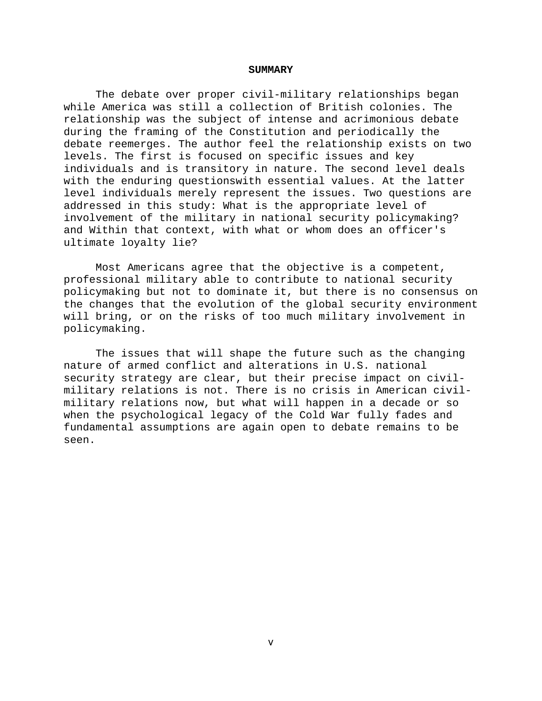#### **SUMMARY**

The debate over proper civil-military relationships began while America was still a collection of British colonies. The relationship was the subject of intense and acrimonious debate during the framing of the Constitution and periodically the debate reemerges. The author feel the relationship exists on two levels. The first is focused on specific issues and key individuals and is transitory in nature. The second level deals with the enduring questionswith essential values. At the latter level individuals merely represent the issues. Two questions are addressed in this study: What is the appropriate level of involvement of the military in national security policymaking? and Within that context, with what or whom does an officer's ultimate loyalty lie?

Most Americans agree that the objective is a competent, professional military able to contribute to national security policymaking but not to dominate it, but there is no consensus on the changes that the evolution of the global security environment will bring, or on the risks of too much military involvement in policymaking.

The issues that will shape the future such as the changing nature of armed conflict and alterations in U.S. national security strategy are clear, but their precise impact on civilmilitary relations is not. There is no crisis in American civilmilitary relations now, but what will happen in a decade or so when the psychological legacy of the Cold War fully fades and fundamental assumptions are again open to debate remains to be seen.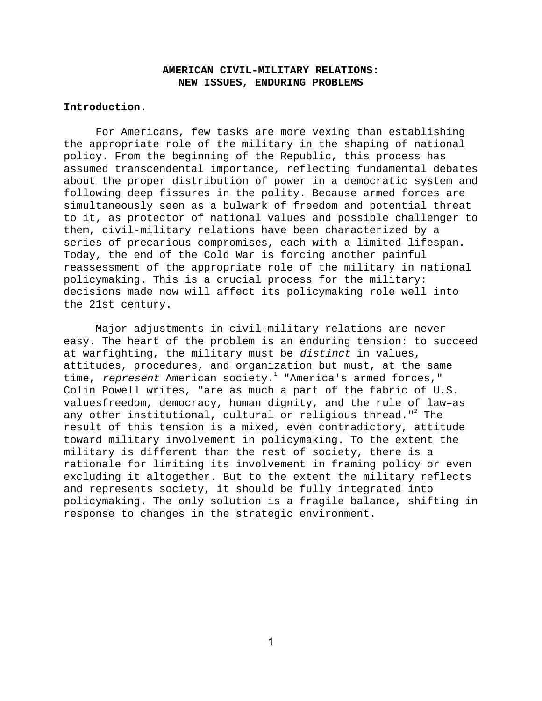# **AMERICAN CIVIL-MILITARY RELATIONS: NEW ISSUES, ENDURING PROBLEMS**

## **Introduction.**

For Americans, few tasks are more vexing than establishing the appropriate role of the military in the shaping of national policy. From the beginning of the Republic, this process has assumed transcendental importance, reflecting fundamental debates about the proper distribution of power in a democratic system and following deep fissures in the polity. Because armed forces are simultaneously seen as a bulwark of freedom and potential threat to it, as protector of national values and possible challenger to them, civil-military relations have been characterized by a series of precarious compromises, each with a limited lifespan. Today, the end of the Cold War is forcing another painful reassessment of the appropriate role of the military in national policymaking. This is a crucial process for the military: decisions made now will affect its policymaking role well into the 21st century.

Major adjustments in civil-military relations are never easy. The heart of the problem is an enduring tension: to succeed at warfighting, the military must be distinct in values, attitudes, procedures, and organization but must, at the same time, *represent* American society.<sup>1</sup> "America's armed forces," Colin Powell writes, "are as much a part of the fabric of U.S. valuesfreedom, democracy, human dignity, and the rule of law–as any other institutional, cultural or religious thread." $^{\text{2}}$  The result of this tension is a mixed, even contradictory, attitude toward military involvement in policymaking. To the extent the military is different than the rest of society, there is a rationale for limiting its involvement in framing policy or even excluding it altogether. But to the extent the military reflects and represents society, it should be fully integrated into policymaking. The only solution is a fragile balance, shifting in response to changes in the strategic environment.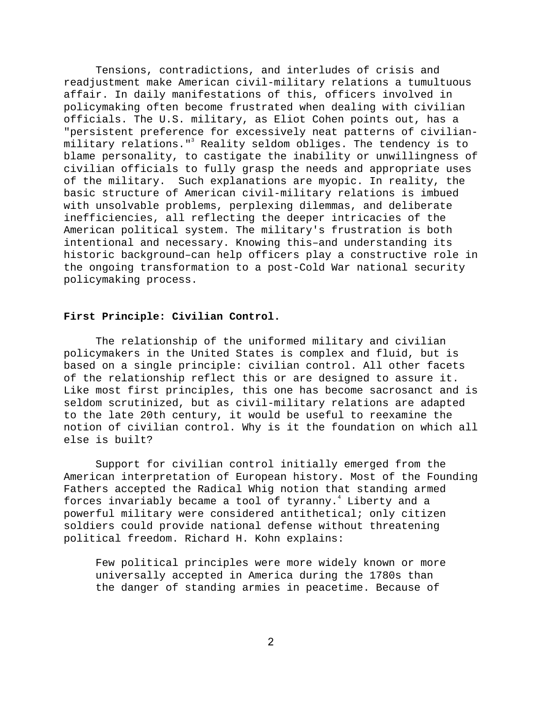Tensions, contradictions, and interludes of crisis and readjustment make American civil-military relations a tumultuous affair. In daily manifestations of this, officers involved in policymaking often become frustrated when dealing with civilian officials. The U.S. military, as Eliot Cohen points out, has a "persistent preference for excessively neat patterns of civilianmilitary relations."<sup>3</sup> Reality seldom obliges. The tendency is to blame personality, to castigate the inability or unwillingness of civilian officials to fully grasp the needs and appropriate uses of the military. Such explanations are myopic. In reality, the basic structure of American civil-military relations is imbued with unsolvable problems, perplexing dilemmas, and deliberate inefficiencies, all reflecting the deeper intricacies of the American political system. The military's frustration is both intentional and necessary. Knowing this–and understanding its historic background–can help officers play a constructive role in the ongoing transformation to a post-Cold War national security policymaking process.

## **First Principle: Civilian Control.**

The relationship of the uniformed military and civilian policymakers in the United States is complex and fluid, but is based on a single principle: civilian control. All other facets of the relationship reflect this or are designed to assure it. Like most first principles, this one has become sacrosanct and is seldom scrutinized, but as civil-military relations are adapted to the late 20th century, it would be useful to reexamine the notion of civilian control. Why is it the foundation on which all else is built?

Support for civilian control initially emerged from the American interpretation of European history. Most of the Founding Fathers accepted the Radical Whig notion that standing armed forces invariably became a tool of tyranny. $^4$  Liberty and a powerful military were considered antithetical; only citizen soldiers could provide national defense without threatening political freedom. Richard H. Kohn explains:

Few political principles were more widely known or more universally accepted in America during the 1780s than the danger of standing armies in peacetime. Because of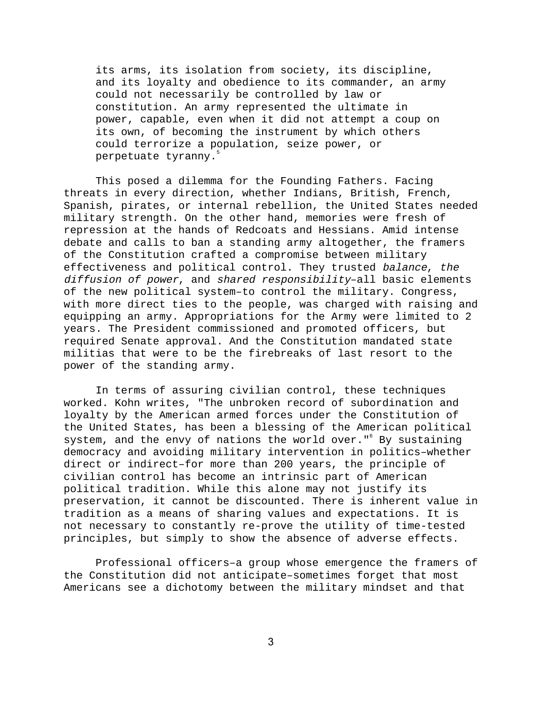its arms, its isolation from society, its discipline, and its loyalty and obedience to its commander, an army could not necessarily be controlled by law or constitution. An army represented the ultimate in power, capable, even when it did not attempt a coup on its own, of becoming the instrument by which others could terrorize a population, seize power, or perpetuate tyranny.<sup>5</sup>

This posed a dilemma for the Founding Fathers. Facing threats in every direction, whether Indians, British, French, Spanish, pirates, or internal rebellion, the United States needed military strength. On the other hand, memories were fresh of repression at the hands of Redcoats and Hessians. Amid intense debate and calls to ban a standing army altogether, the framers of the Constitution crafted a compromise between military effectiveness and political control. They trusted balance, the diffusion of power, and shared responsibility–all basic elements of the new political system–to control the military. Congress, with more direct ties to the people, was charged with raising and equipping an army. Appropriations for the Army were limited to 2 years. The President commissioned and promoted officers, but required Senate approval. And the Constitution mandated state militias that were to be the firebreaks of last resort to the power of the standing army.

In terms of assuring civilian control, these techniques worked. Kohn writes, "The unbroken record of subordination and loyalty by the American armed forces under the Constitution of the United States, has been a blessing of the American political system, and the envy of nations the world over."<sup>6</sup> By sustaining democracy and avoiding military intervention in politics–whether direct or indirect–for more than 200 years, the principle of civilian control has become an intrinsic part of American political tradition. While this alone may not justify its preservation, it cannot be discounted. There is inherent value in tradition as a means of sharing values and expectations. It is not necessary to constantly re-prove the utility of time-tested principles, but simply to show the absence of adverse effects.

Professional officers–a group whose emergence the framers of the Constitution did not anticipate–sometimes forget that most Americans see a dichotomy between the military mindset and that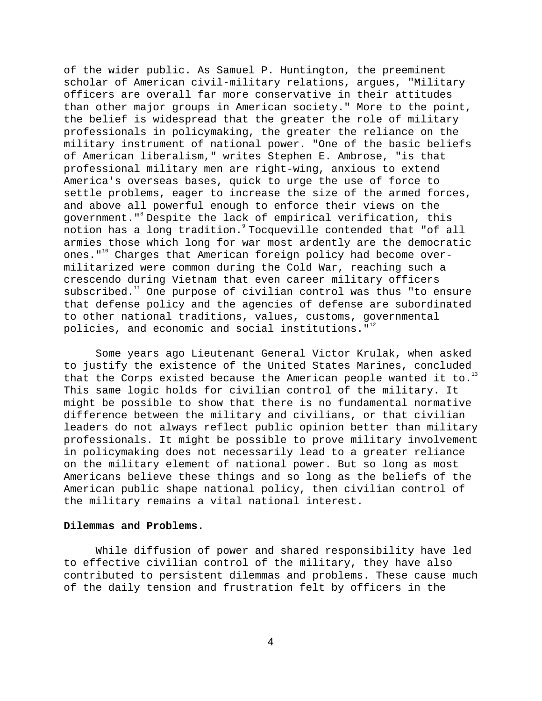of the wider public. As Samuel P. Huntington, the preeminent scholar of American civil-military relations, argues, "Military officers are overall far more conservative in their attitudes than other major groups in American society." More to the point, the belief is widespread that the greater the role of military professionals in policymaking, the greater the reliance on the military instrument of national power. "One of the basic beliefs of American liberalism," writes Stephen E. Ambrose, "is that professional military men are right-wing, anxious to extend America's overseas bases, quick to urge the use of force to settle problems, eager to increase the size of the armed forces, and above all powerful enough to enforce their views on the government." Despite the lack of empirical verification, this notion has a long tradition. Tocqueville contended that "of all armies those which long for war most ardently are the democratic ones."<sup>10</sup> Charges that American foreign policy had become overmilitarized were common during the Cold War, reaching such a crescendo during Vietnam that even career military officers subscribed. $11$  One purpose of civilian control was thus "to ensure that defense policy and the agencies of defense are subordinated to other national traditions, values, customs, governmental policies, and economic and social institutions. $"$ 

Some years ago Lieutenant General Victor Krulak, when asked to justify the existence of the United States Marines, concluded that the Corps existed because the American people wanted it to.<sup>1</sup> This same logic holds for civilian control of the military. It might be possible to show that there is no fundamental normative difference between the military and civilians, or that civilian leaders do not always reflect public opinion better than military professionals. It might be possible to prove military involvement in policymaking does not necessarily lead to a greater reliance on the military element of national power. But so long as most Americans believe these things and so long as the beliefs of the American public shape national policy, then civilian control of the military remains a vital national interest.

## **Dilemmas and Problems.**

While diffusion of power and shared responsibility have led to effective civilian control of the military, they have also contributed to persistent dilemmas and problems. These cause much of the daily tension and frustration felt by officers in the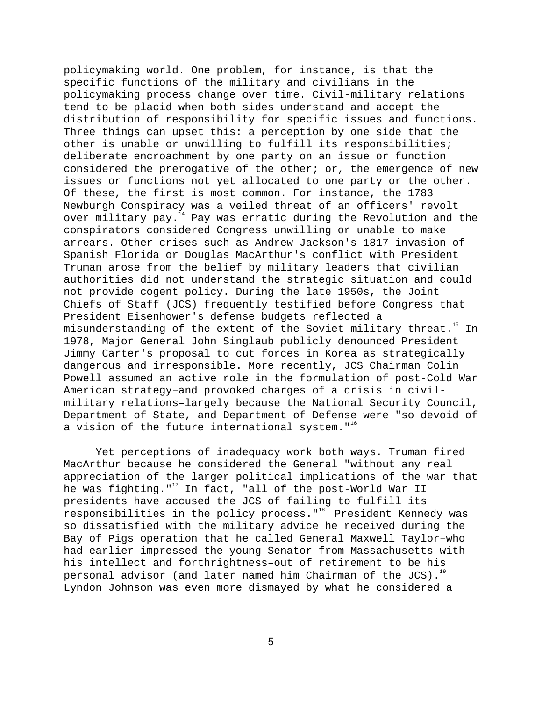policymaking world. One problem, for instance, is that the specific functions of the military and civilians in the policymaking process change over time. Civil-military relations tend to be placid when both sides understand and accept the distribution of responsibility for specific issues and functions. Three things can upset this: a perception by one side that the other is unable or unwilling to fulfill its responsibilities; deliberate encroachment by one party on an issue or function considered the prerogative of the other; or, the emergence of new issues or functions not yet allocated to one party or the other. Of these, the first is most common. For instance, the 1783 Newburgh Conspiracy was a veiled threat of an officers' revolt over military pay.<sup>14</sup> Pay was erratic during the Revolution and the conspirators considered Congress unwilling or unable to make arrears. Other crises such as Andrew Jackson's 1817 invasion of Spanish Florida or Douglas MacArthur's conflict with President Truman arose from the belief by military leaders that civilian authorities did not understand the strategic situation and could not provide cogent policy. During the late 1950s, the Joint Chiefs of Staff (JCS) frequently testified before Congress that President Eisenhower's defense budgets reflected a misunderstanding of the extent of the Soviet military threat.<sup>15</sup> In 1978, Major General John Singlaub publicly denounced President Jimmy Carter's proposal to cut forces in Korea as strategically dangerous and irresponsible. More recently, JCS Chairman Colin Powell assumed an active role in the formulation of post-Cold War American strategy–and provoked charges of a crisis in civilmilitary relations–largely because the National Security Council, Department of State, and Department of Defense were "so devoid of a vision of the future international system." $16$ 

Yet perceptions of inadequacy work both ways. Truman fired MacArthur because he considered the General "without any real appreciation of the larger political implications of the war that he was fighting."<sup>17</sup> In fact, "all of the post-World War II presidents have accused the JCS of failing to fulfill its responsibilities in the policy process."<sup>18</sup> President Kennedy was so dissatisfied with the military advice he received during the Bay of Pigs operation that he called General Maxwell Taylor–who had earlier impressed the young Senator from Massachusetts with his intellect and forthrightness–out of retirement to be his personal advisor (and later named him Chairman of the JCS).<sup>19</sup> Lyndon Johnson was even more dismayed by what he considered a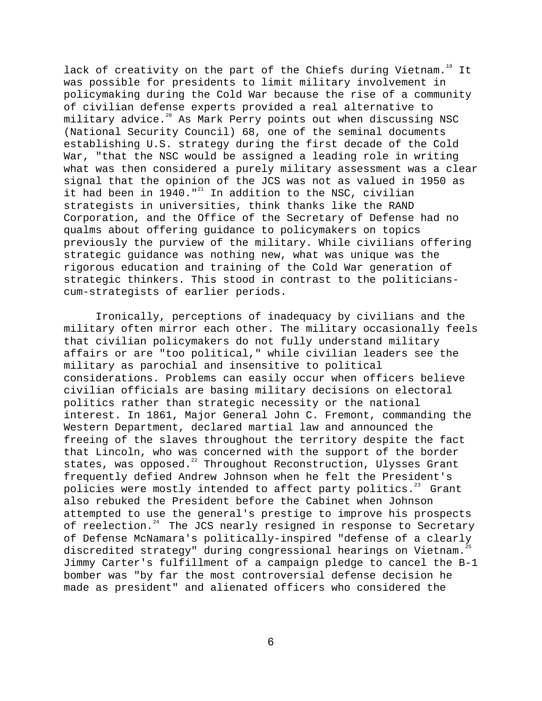lack of creativity on the part of the Chiefs during Vietnam.<sup>19</sup> It was possible for presidents to limit military involvement in policymaking during the Cold War because the rise of a community of civilian defense experts provided a real alternative to military advice.<sup>20</sup> As Mark Perry points out when discussing NSC (National Security Council) 68, one of the seminal documents establishing U.S. strategy during the first decade of the Cold War, "that the NSC would be assigned a leading role in writing what was then considered a purely military assessment was a clear signal that the opinion of the JCS was not as valued in 1950 as it had been in 1940." $^{21}$  In addition to the NSC, civilian strategists in universities, think thanks like the RAND Corporation, and the Office of the Secretary of Defense had no qualms about offering guidance to policymakers on topics previously the purview of the military. While civilians offering strategic guidance was nothing new, what was unique was the rigorous education and training of the Cold War generation of strategic thinkers. This stood in contrast to the politicianscum-strategists of earlier periods.

Ironically, perceptions of inadequacy by civilians and the military often mirror each other. The military occasionally feels that civilian policymakers do not fully understand military affairs or are "too political," while civilian leaders see the military as parochial and insensitive to political considerations. Problems can easily occur when officers believe civilian officials are basing military decisions on electoral politics rather than strategic necessity or the national interest. In 1861, Major General John C. Fremont, commanding the Western Department, declared martial law and announced the freeing of the slaves throughout the territory despite the fact that Lincoln, who was concerned with the support of the border states, was opposed.<sup>22</sup> Throughout Reconstruction, Ulysses Grant frequently defied Andrew Johnson when he felt the President's policies were mostly intended to affect party politics. $23$  Grant also rebuked the President before the Cabinet when Johnson attempted to use the general's prestige to improve his prospects of reelection.<sup>24</sup> The JCS nearly resigned in response to Secretary of Defense McNamara's politically-inspired "defense of a clearly discredited strategy" during congressional hearings on Vietnam.<sup>2</sup> Jimmy Carter's fulfillment of a campaign pledge to cancel the B-1 bomber was "by far the most controversial defense decision he made as president" and alienated officers who considered the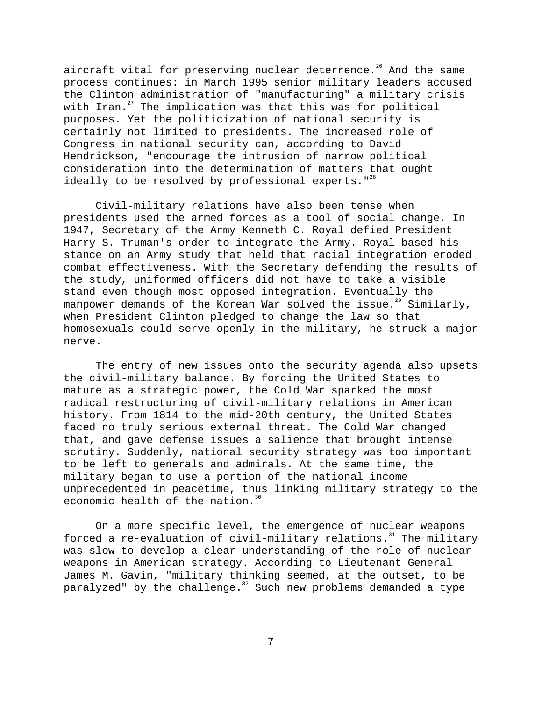aircraft vital for preserving nuclear deterrence.<sup>26</sup> And the same process continues: in March 1995 senior military leaders accused the Clinton administration of "manufacturing" a military crisis with Iran. $^{27}$  The implication was that this was for political purposes. Yet the politicization of national security is certainly not limited to presidents. The increased role of Congress in national security can, according to David Hendrickson, "encourage the intrusion of narrow political consideration into the determination of matters that ought ideally to be resolved by professional experts.  $"$ <sup>28</sup>

Civil-military relations have also been tense when presidents used the armed forces as a tool of social change. In 1947, Secretary of the Army Kenneth C. Royal defied President Harry S. Truman's order to integrate the Army. Royal based his stance on an Army study that held that racial integration eroded combat effectiveness. With the Secretary defending the results of the study, uniformed officers did not have to take a visible stand even though most opposed integration. Eventually the manpower demands of the Korean War solved the issue.<sup>29</sup> Similarly, when President Clinton pledged to change the law so that homosexuals could serve openly in the military, he struck a major nerve.

The entry of new issues onto the security agenda also upsets the civil-military balance. By forcing the United States to mature as a strategic power, the Cold War sparked the most radical restructuring of civil-military relations in American history. From 1814 to the mid-20th century, the United States faced no truly serious external threat. The Cold War changed that, and gave defense issues a salience that brought intense scrutiny. Suddenly, national security strategy was too important to be left to generals and admirals. At the same time, the military began to use a portion of the national income unprecedented in peacetime, thus linking military strategy to the economic health of the nation.<sup>30</sup>

On a more specific level, the emergence of nuclear weapons forced a re-evaluation of civil-military relations.<sup>31</sup> The military was slow to develop a clear understanding of the role of nuclear weapons in American strategy. According to Lieutenant General James M. Gavin, "military thinking seemed, at the outset, to be paralyzed" by the challenge.<sup>32</sup> Such new problems demanded a type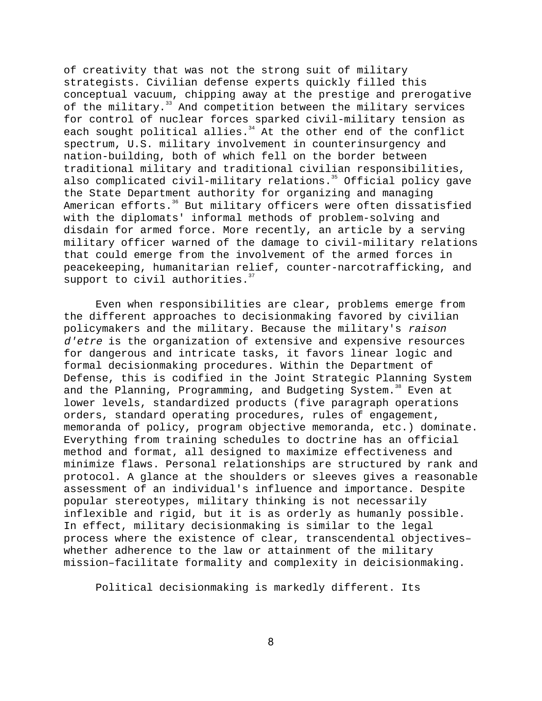of creativity that was not the strong suit of military strategists. Civilian defense experts quickly filled this conceptual vacuum, chipping away at the prestige and prerogative of the military.<sup>33</sup> And competition between the military services for control of nuclear forces sparked civil-military tension as each sought political allies. $34$  At the other end of the conflict spectrum, U.S. military involvement in counterinsurgency and nation-building, both of which fell on the border between traditional military and traditional civilian responsibilities, also complicated civil-military relations.<sup>35</sup> Official policy gave the State Department authority for organizing and managing American efforts.<sup>36</sup> But military officers were often dissatisfied with the diplomats' informal methods of problem-solving and disdain for armed force. More recently, an article by a serving military officer warned of the damage to civil-military relations that could emerge from the involvement of the armed forces in peacekeeping, humanitarian relief, counter-narcotrafficking, and support to civil authorities. $37$ 

Even when responsibilities are clear, problems emerge from the different approaches to decisionmaking favored by civilian policymakers and the military. Because the military's raison d'etre is the organization of extensive and expensive resources for dangerous and intricate tasks, it favors linear logic and formal decisionmaking procedures. Within the Department of Defense, this is codified in the Joint Strategic Planning System and the Planning, Programming, and Budgeting System.<sup>38</sup> Even at lower levels, standardized products (five paragraph operations orders, standard operating procedures, rules of engagement, memoranda of policy, program objective memoranda, etc.) dominate. Everything from training schedules to doctrine has an official method and format, all designed to maximize effectiveness and minimize flaws. Personal relationships are structured by rank and protocol. A glance at the shoulders or sleeves gives a reasonable assessment of an individual's influence and importance. Despite popular stereotypes, military thinking is not necessarily inflexible and rigid, but it is as orderly as humanly possible. In effect, military decisionmaking is similar to the legal process where the existence of clear, transcendental objectives– whether adherence to the law or attainment of the military mission–facilitate formality and complexity in deicisionmaking.

Political decisionmaking is markedly different. Its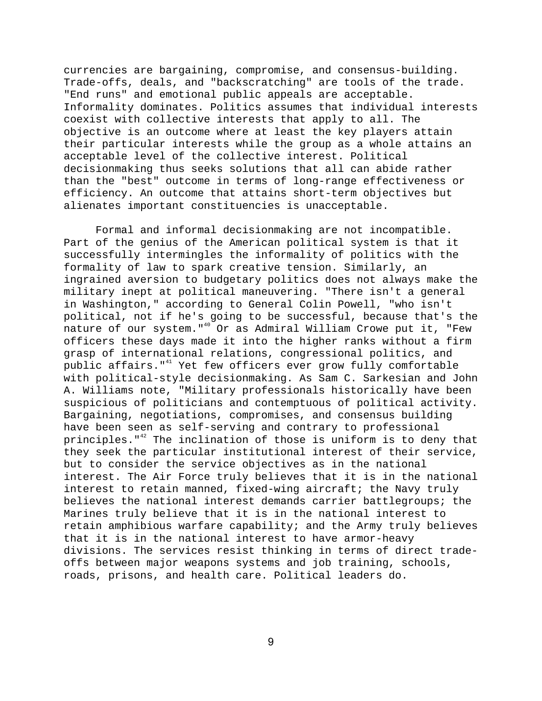currencies are bargaining, compromise, and consensus-building. Trade-offs, deals, and "backscratching" are tools of the trade. "End runs" and emotional public appeals are acceptable. Informality dominates. Politics assumes that individual interests coexist with collective interests that apply to all. The objective is an outcome where at least the key players attain their particular interests while the group as a whole attains an acceptable level of the collective interest. Political decisionmaking thus seeks solutions that all can abide rather than the "best" outcome in terms of long-range effectiveness or efficiency. An outcome that attains short-term objectives but alienates important constituencies is unacceptable.

Formal and informal decisionmaking are not incompatible. Part of the genius of the American political system is that it successfully intermingles the informality of politics with the formality of law to spark creative tension. Similarly, an ingrained aversion to budgetary politics does not always make the military inept at political maneuvering. "There isn't a general in Washington," according to General Colin Powell, "who isn't political, not if he's going to be successful, because that's the nature of our system." $40$  Or as Admiral William Crowe put it, "Few officers these days made it into the higher ranks without a firm grasp of international relations, congressional politics, and public affairs."<sup>41</sup> Yet few officers ever grow fully comfortable with political-style decisionmaking. As Sam C. Sarkesian and John A. Williams note, "Military professionals historically have been suspicious of politicians and contemptuous of political activity. Bargaining, negotiations, compromises, and consensus building have been seen as self-serving and contrary to professional principles." $42$  The inclination of those is uniform is to deny that they seek the particular institutional interest of their service, but to consider the service objectives as in the national interest. The Air Force truly believes that it is in the national interest to retain manned, fixed-wing aircraft; the Navy truly believes the national interest demands carrier battlegroups; the Marines truly believe that it is in the national interest to retain amphibious warfare capability; and the Army truly believes that it is in the national interest to have armor-heavy divisions. The services resist thinking in terms of direct tradeoffs between major weapons systems and job training, schools, roads, prisons, and health care. Political leaders do.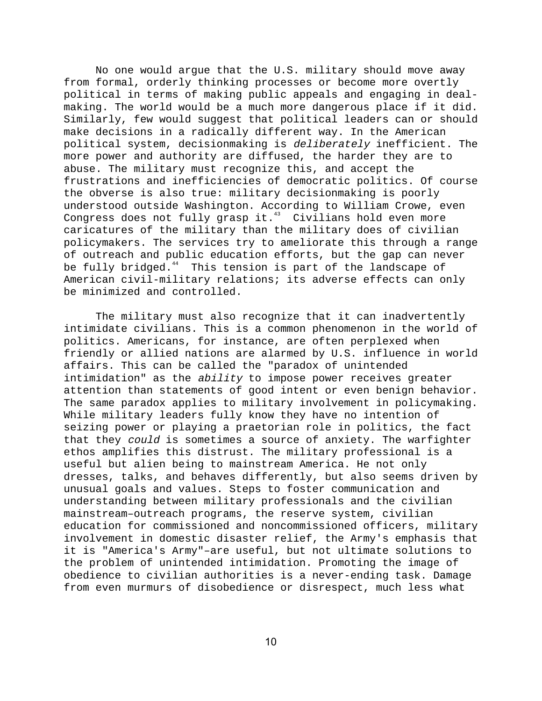No one would argue that the U.S. military should move away from formal, orderly thinking processes or become more overtly political in terms of making public appeals and engaging in dealmaking. The world would be a much more dangerous place if it did. Similarly, few would suggest that political leaders can or should make decisions in a radically different way. In the American political system, decisionmaking is deliberately inefficient. The more power and authority are diffused, the harder they are to abuse. The military must recognize this, and accept the frustrations and inefficiencies of democratic politics. Of course the obverse is also true: military decisionmaking is poorly understood outside Washington. According to William Crowe, even Congress does not fully grasp it.<sup>43</sup> Civilians hold even more caricatures of the military than the military does of civilian policymakers. The services try to ameliorate this through a range of outreach and public education efforts, but the gap can never be fully bridged.<sup>44</sup> This tension is part of the landscape of American civil-military relations; its adverse effects can only be minimized and controlled.

The military must also recognize that it can inadvertently intimidate civilians. This is a common phenomenon in the world of politics. Americans, for instance, are often perplexed when friendly or allied nations are alarmed by U.S. influence in world affairs. This can be called the "paradox of unintended intimidation" as the ability to impose power receives greater attention than statements of good intent or even benign behavior. The same paradox applies to military involvement in policymaking. While military leaders fully know they have no intention of seizing power or playing a praetorian role in politics, the fact that they could is sometimes a source of anxiety. The warfighter ethos amplifies this distrust. The military professional is a useful but alien being to mainstream America. He not only dresses, talks, and behaves differently, but also seems driven by unusual goals and values. Steps to foster communication and understanding between military professionals and the civilian mainstream–outreach programs, the reserve system, civilian education for commissioned and noncommissioned officers, military involvement in domestic disaster relief, the Army's emphasis that it is "America's Army"–are useful, but not ultimate solutions to the problem of unintended intimidation. Promoting the image of obedience to civilian authorities is a never-ending task. Damage from even murmurs of disobedience or disrespect, much less what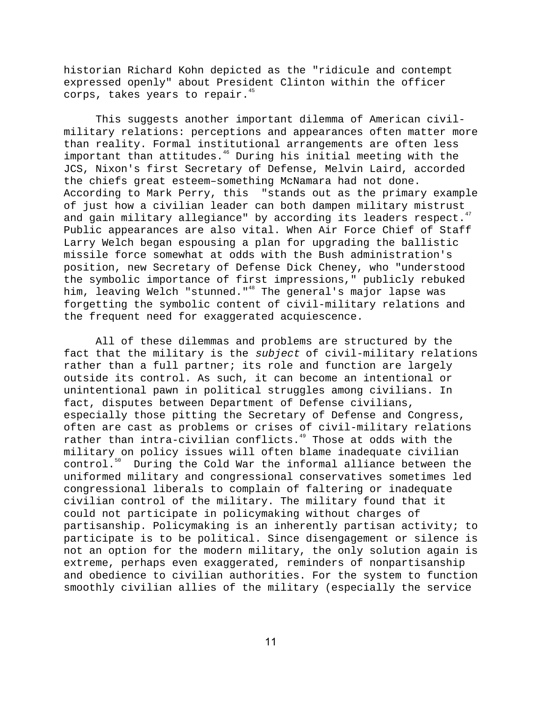historian Richard Kohn depicted as the "ridicule and contempt expressed openly" about President Clinton within the officer corps, takes years to repair.<sup>45</sup>

This suggests another important dilemma of American civilmilitary relations: perceptions and appearances often matter more than reality. Formal institutional arrangements are often less important than attitudes.<sup>46</sup> During his initial meeting with the JCS, Nixon's first Secretary of Defense, Melvin Laird, accorded the chiefs great esteem–something McNamara had not done. According to Mark Perry, this "stands out as the primary example of just how a civilian leader can both dampen military mistrust and gain military allegiance" by according its leaders respect. $47$ Public appearances are also vital. When Air Force Chief of Staff Larry Welch began espousing a plan for upgrading the ballistic missile force somewhat at odds with the Bush administration's position, new Secretary of Defense Dick Cheney, who "understood the symbolic importance of first impressions," publicly rebuked him, leaving Welch "stunned."<sup>48</sup> The general's major lapse was forgetting the symbolic content of civil-military relations and the frequent need for exaggerated acquiescence.

All of these dilemmas and problems are structured by the fact that the military is the subject of civil-military relations rather than a full partner; its role and function are largely outside its control. As such, it can become an intentional or unintentional pawn in political struggles among civilians. In fact, disputes between Department of Defense civilians, especially those pitting the Secretary of Defense and Congress, often are cast as problems or crises of civil-military relations rather than intra-civilian conflicts.<sup>49</sup> Those at odds with the military on policy issues will often blame inadequate civilian control.<sup>50</sup> During the Cold War the informal alliance between the uniformed military and congressional conservatives sometimes led congressional liberals to complain of faltering or inadequate civilian control of the military. The military found that it could not participate in policymaking without charges of partisanship. Policymaking is an inherently partisan activity; to participate is to be political. Since disengagement or silence is not an option for the modern military, the only solution again is extreme, perhaps even exaggerated, reminders of nonpartisanship and obedience to civilian authorities. For the system to function smoothly civilian allies of the military (especially the service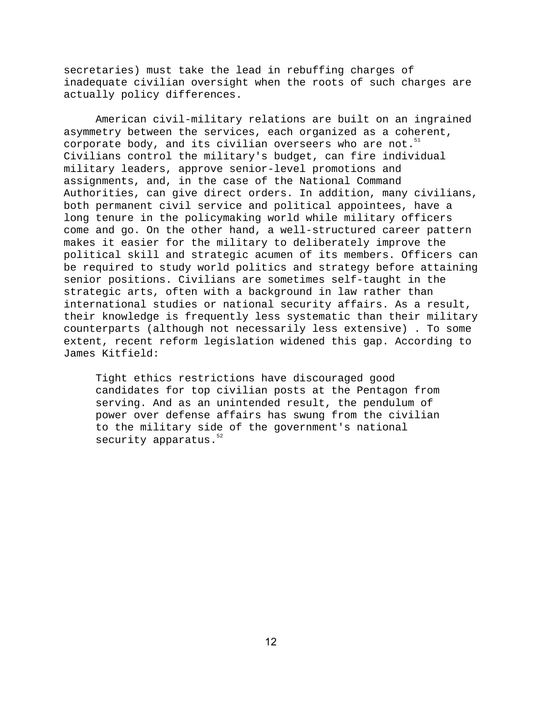secretaries) must take the lead in rebuffing charges of inadequate civilian oversight when the roots of such charges are actually policy differences.

American civil-military relations are built on an ingrained asymmetry between the services, each organized as a coherent, corporate body, and its civilian overseers who are not. $51$ Civilians control the military's budget, can fire individual military leaders, approve senior-level promotions and assignments, and, in the case of the National Command Authorities, can give direct orders. In addition, many civilians, both permanent civil service and political appointees, have a long tenure in the policymaking world while military officers come and go. On the other hand, a well-structured career pattern makes it easier for the military to deliberately improve the political skill and strategic acumen of its members. Officers can be required to study world politics and strategy before attaining senior positions. Civilians are sometimes self-taught in the strategic arts, often with a background in law rather than international studies or national security affairs. As a result, their knowledge is frequently less systematic than their military counterparts (although not necessarily less extensive) . To some extent, recent reform legislation widened this gap. According to James Kitfield:

Tight ethics restrictions have discouraged good candidates for top civilian posts at the Pentagon from serving. And as an unintended result, the pendulum of power over defense affairs has swung from the civilian to the military side of the government's national security apparatus. $52$ 

 $12$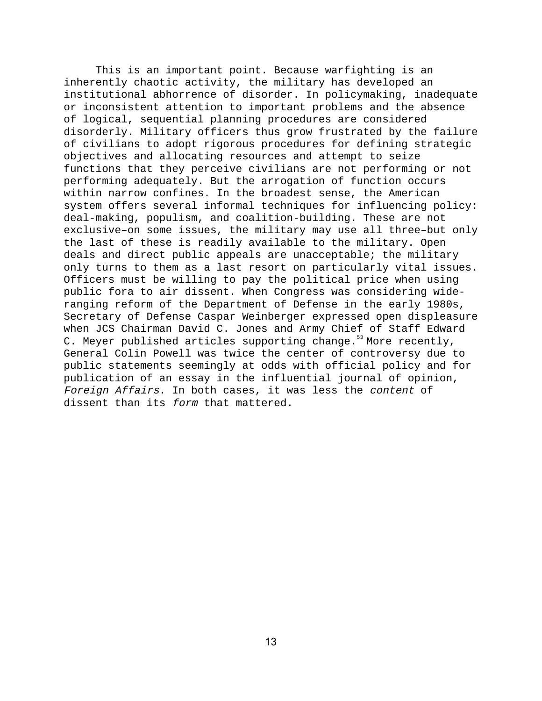This is an important point. Because warfighting is an inherently chaotic activity, the military has developed an institutional abhorrence of disorder. In policymaking, inadequate or inconsistent attention to important problems and the absence of logical, sequential planning procedures are considered disorderly. Military officers thus grow frustrated by the failure of civilians to adopt rigorous procedures for defining strategic objectives and allocating resources and attempt to seize functions that they perceive civilians are not performing or not performing adequately. But the arrogation of function occurs within narrow confines. In the broadest sense, the American system offers several informal techniques for influencing policy: deal-making, populism, and coalition-building. These are not exclusive–on some issues, the military may use all three–but only the last of these is readily available to the military. Open deals and direct public appeals are unacceptable; the military only turns to them as a last resort on particularly vital issues. Officers must be willing to pay the political price when using public fora to air dissent. When Congress was considering wideranging reform of the Department of Defense in the early 1980s, Secretary of Defense Caspar Weinberger expressed open displeasure when JCS Chairman David C. Jones and Army Chief of Staff Edward C. Meyer published articles supporting change.<sup>53</sup> More recently, General Colin Powell was twice the center of controversy due to public statements seemingly at odds with official policy and for publication of an essay in the influential journal of opinion, Foreign Affairs. In both cases, it was less the content of dissent than its form that mattered.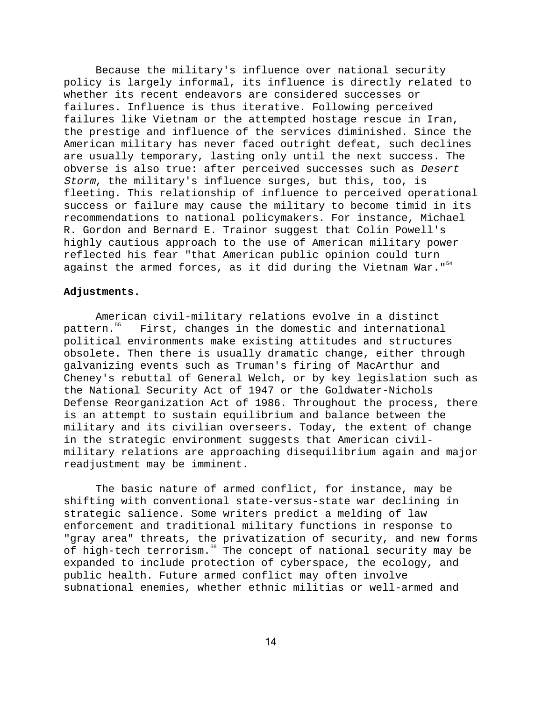Because the military's influence over national security policy is largely informal, its influence is directly related to whether its recent endeavors are considered successes or failures. Influence is thus iterative. Following perceived failures like Vietnam or the attempted hostage rescue in Iran, the prestige and influence of the services diminished. Since the American military has never faced outright defeat, such declines are usually temporary, lasting only until the next success. The obverse is also true: after perceived successes such as Desert Storm, the military's influence surges, but this, too, is fleeting. This relationship of influence to perceived operational success or failure may cause the military to become timid in its recommendations to national policymakers. For instance, Michael R. Gordon and Bernard E. Trainor suggest that Colin Powell's highly cautious approach to the use of American military power reflected his fear "that American public opinion could turn against the armed forces, as it did during the Vietnam War.  $154$ 

## **Adjustments.**

American civil-military relations evolve in a distinct<br>pattern.<sup>55</sup> First, changes in the domestic and international First, changes in the domestic and international political environments make existing attitudes and structures obsolete. Then there is usually dramatic change, either through galvanizing events such as Truman's firing of MacArthur and Cheney's rebuttal of General Welch, or by key legislation such as the National Security Act of 1947 or the Goldwater-Nichols Defense Reorganization Act of 1986. Throughout the process, there is an attempt to sustain equilibrium and balance between the military and its civilian overseers. Today, the extent of change in the strategic environment suggests that American civilmilitary relations are approaching disequilibrium again and major readjustment may be imminent.

The basic nature of armed conflict, for instance, may be shifting with conventional state-versus-state war declining in strategic salience. Some writers predict a melding of law enforcement and traditional military functions in response to "gray area" threats, the privatization of security, and new forms of high-tech terrorism.<sup>56</sup> The concept of national security may be expanded to include protection of cyberspace, the ecology, and public health. Future armed conflict may often involve subnational enemies, whether ethnic militias or well-armed and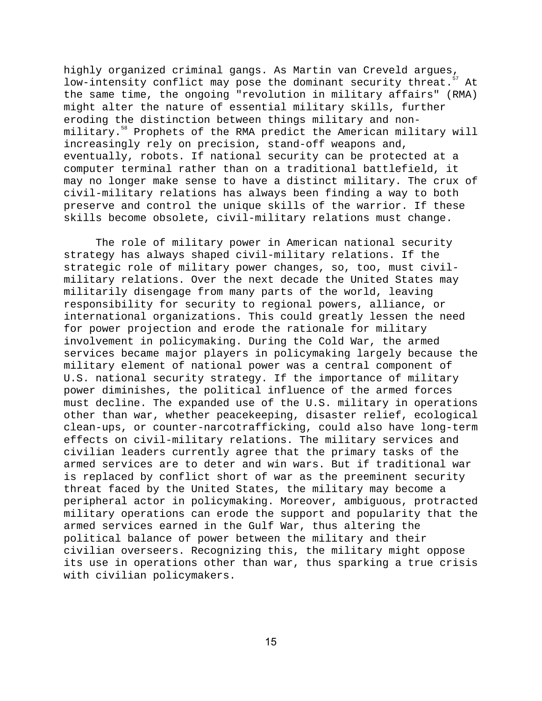highly organized criminal gangs. As Martin van Creveld argues, low-intensity conflict may pose the dominant security threat.<sup>57</sup> At the same time, the ongoing "revolution in military affairs" (RMA) might alter the nature of essential military skills, further eroding the distinction between things military and nonmilitary.58 Prophets of the RMA predict the American military will increasingly rely on precision, stand-off weapons and, eventually, robots. If national security can be protected at a computer terminal rather than on a traditional battlefield, it may no longer make sense to have a distinct military. The crux of civil-military relations has always been finding a way to both preserve and control the unique skills of the warrior. If these skills become obsolete, civil-military relations must change.

The role of military power in American national security strategy has always shaped civil-military relations. If the strategic role of military power changes, so, too, must civilmilitary relations. Over the next decade the United States may militarily disengage from many parts of the world, leaving responsibility for security to regional powers, alliance, or international organizations. This could greatly lessen the need for power projection and erode the rationale for military involvement in policymaking. During the Cold War, the armed services became major players in policymaking largely because the military element of national power was a central component of U.S. national security strategy. If the importance of military power diminishes, the political influence of the armed forces must decline. The expanded use of the U.S. military in operations other than war, whether peacekeeping, disaster relief, ecological clean-ups, or counter-narcotrafficking, could also have long-term effects on civil-military relations. The military services and civilian leaders currently agree that the primary tasks of the armed services are to deter and win wars. But if traditional war is replaced by conflict short of war as the preeminent security threat faced by the United States, the military may become a peripheral actor in policymaking. Moreover, ambiguous, protracted military operations can erode the support and popularity that the armed services earned in the Gulf War, thus altering the political balance of power between the military and their civilian overseers. Recognizing this, the military might oppose its use in operations other than war, thus sparking a true crisis with civilian policymakers.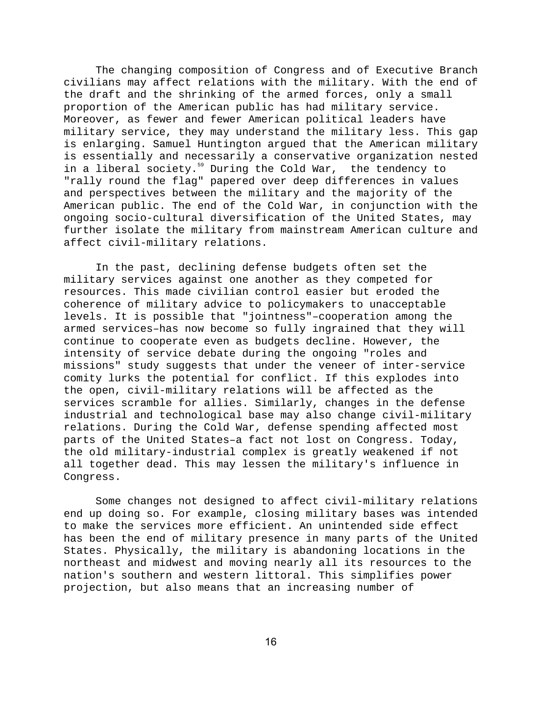The changing composition of Congress and of Executive Branch civilians may affect relations with the military. With the end of the draft and the shrinking of the armed forces, only a small proportion of the American public has had military service. Moreover, as fewer and fewer American political leaders have military service, they may understand the military less. This gap is enlarging. Samuel Huntington argued that the American military is essentially and necessarily a conservative organization nested in a liberal society.<sup>59</sup> During the Cold War, the tendency to "rally round the flag" papered over deep differences in values and perspectives between the military and the majority of the American public. The end of the Cold War, in conjunction with the ongoing socio-cultural diversification of the United States, may further isolate the military from mainstream American culture and affect civil-military relations.

In the past, declining defense budgets often set the military services against one another as they competed for resources. This made civilian control easier but eroded the coherence of military advice to policymakers to unacceptable levels. It is possible that "jointness"–cooperation among the armed services–has now become so fully ingrained that they will continue to cooperate even as budgets decline. However, the intensity of service debate during the ongoing "roles and missions" study suggests that under the veneer of inter-service comity lurks the potential for conflict. If this explodes into the open, civil-military relations will be affected as the services scramble for allies. Similarly, changes in the defense industrial and technological base may also change civil-military relations. During the Cold War, defense spending affected most parts of the United States–a fact not lost on Congress. Today, the old military-industrial complex is greatly weakened if not all together dead. This may lessen the military's influence in Congress.

Some changes not designed to affect civil-military relations end up doing so. For example, closing military bases was intended to make the services more efficient. An unintended side effect has been the end of military presence in many parts of the United States. Physically, the military is abandoning locations in the northeast and midwest and moving nearly all its resources to the nation's southern and western littoral. This simplifies power projection, but also means that an increasing number of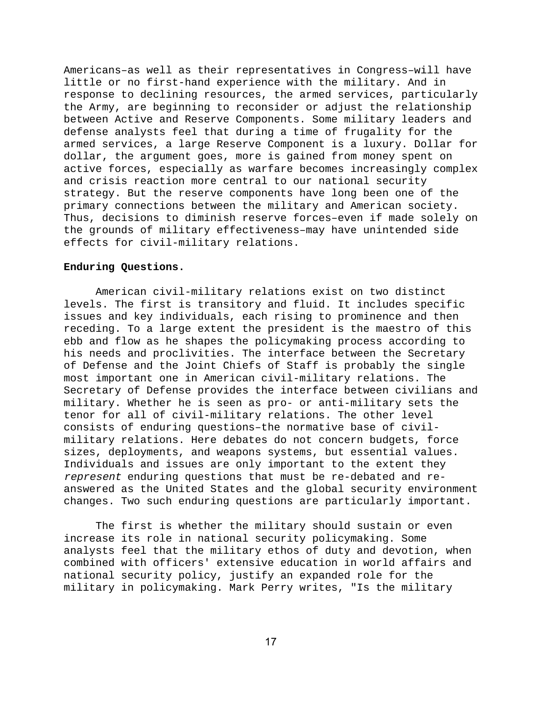Americans–as well as their representatives in Congress–will have little or no first-hand experience with the military. And in response to declining resources, the armed services, particularly the Army, are beginning to reconsider or adjust the relationship between Active and Reserve Components. Some military leaders and defense analysts feel that during a time of frugality for the armed services, a large Reserve Component is a luxury. Dollar for dollar, the argument goes, more is gained from money spent on active forces, especially as warfare becomes increasingly complex and crisis reaction more central to our national security strategy. But the reserve components have long been one of the primary connections between the military and American society. Thus, decisions to diminish reserve forces–even if made solely on the grounds of military effectiveness–may have unintended side effects for civil-military relations.

## **Enduring Questions.**

American civil-military relations exist on two distinct levels. The first is transitory and fluid. It includes specific issues and key individuals, each rising to prominence and then receding. To a large extent the president is the maestro of this ebb and flow as he shapes the policymaking process according to his needs and proclivities. The interface between the Secretary of Defense and the Joint Chiefs of Staff is probably the single most important one in American civil-military relations. The Secretary of Defense provides the interface between civilians and military. Whether he is seen as pro- or anti-military sets the tenor for all of civil-military relations. The other level consists of enduring questions–the normative base of civilmilitary relations. Here debates do not concern budgets, force sizes, deployments, and weapons systems, but essential values. Individuals and issues are only important to the extent they represent enduring questions that must be re-debated and reanswered as the United States and the global security environment changes. Two such enduring questions are particularly important.

The first is whether the military should sustain or even increase its role in national security policymaking. Some analysts feel that the military ethos of duty and devotion, when combined with officers' extensive education in world affairs and national security policy, justify an expanded role for the military in policymaking. Mark Perry writes, "Is the military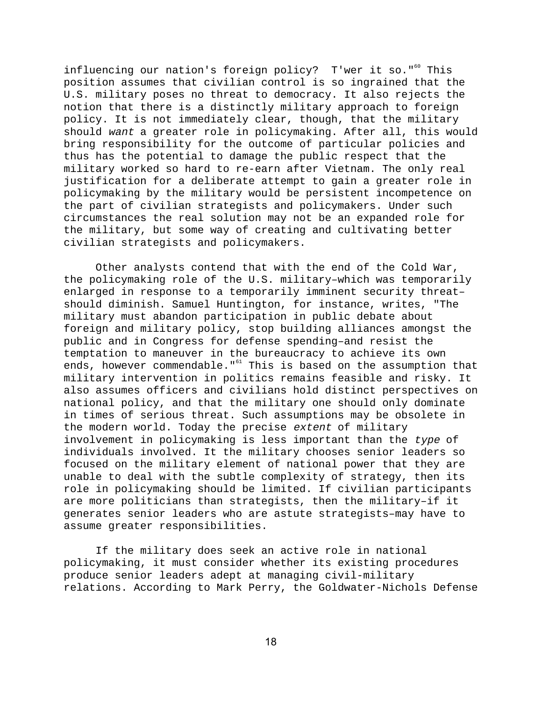influencing our nation's foreign policy? T'wer it so."<sup>60</sup> This position assumes that civilian control is so ingrained that the U.S. military poses no threat to democracy. It also rejects the notion that there is a distinctly military approach to foreign policy. It is not immediately clear, though, that the military should want a greater role in policymaking. After all, this would bring responsibility for the outcome of particular policies and thus has the potential to damage the public respect that the military worked so hard to re-earn after Vietnam. The only real justification for a deliberate attempt to gain a greater role in policymaking by the military would be persistent incompetence on the part of civilian strategists and policymakers. Under such circumstances the real solution may not be an expanded role for the military, but some way of creating and cultivating better civilian strategists and policymakers.

Other analysts contend that with the end of the Cold War, the policymaking role of the U.S. military–which was temporarily enlarged in response to a temporarily imminent security threat– should diminish. Samuel Huntington, for instance, writes, "The military must abandon participation in public debate about foreign and military policy, stop building alliances amongst the public and in Congress for defense spending–and resist the temptation to maneuver in the bureaucracy to achieve its own ends, however commendable."<sup>61</sup> This is based on the assumption that military intervention in politics remains feasible and risky. It also assumes officers and civilians hold distinct perspectives on national policy, and that the military one should only dominate in times of serious threat. Such assumptions may be obsolete in the modern world. Today the precise extent of military involvement in policymaking is less important than the type of individuals involved. It the military chooses senior leaders so focused on the military element of national power that they are unable to deal with the subtle complexity of strategy, then its role in policymaking should be limited. If civilian participants are more politicians than strategists, then the military–if it generates senior leaders who are astute strategists–may have to assume greater responsibilities.

If the military does seek an active role in national policymaking, it must consider whether its existing procedures produce senior leaders adept at managing civil-military relations. According to Mark Perry, the Goldwater-Nichols Defense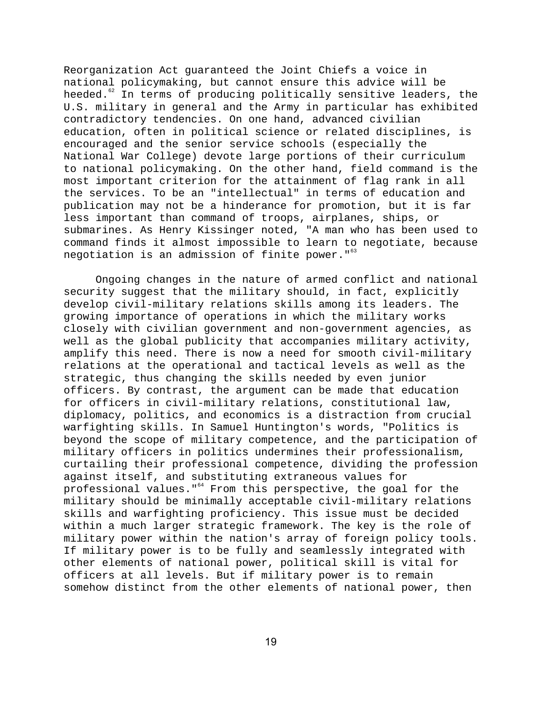Reorganization Act guaranteed the Joint Chiefs a voice in national policymaking, but cannot ensure this advice will be heeded.<sup>62</sup> In terms of producing politically sensitive leaders, the U.S. military in general and the Army in particular has exhibited contradictory tendencies. On one hand, advanced civilian education, often in political science or related disciplines, is encouraged and the senior service schools (especially the National War College) devote large portions of their curriculum to national policymaking. On the other hand, field command is the most important criterion for the attainment of flag rank in all the services. To be an "intellectual" in terms of education and publication may not be a hinderance for promotion, but it is far less important than command of troops, airplanes, ships, or submarines. As Henry Kissinger noted, "A man who has been used to command finds it almost impossible to learn to negotiate, because negotiation is an admission of finite power."<sup>63</sup>

Ongoing changes in the nature of armed conflict and national security suggest that the military should, in fact, explicitly develop civil-military relations skills among its leaders. The growing importance of operations in which the military works closely with civilian government and non-government agencies, as well as the global publicity that accompanies military activity, amplify this need. There is now a need for smooth civil-military relations at the operational and tactical levels as well as the strategic, thus changing the skills needed by even junior officers. By contrast, the argument can be made that education for officers in civil-military relations, constitutional law, diplomacy, politics, and economics is a distraction from crucial warfighting skills. In Samuel Huntington's words, "Politics is beyond the scope of military competence, and the participation of military officers in politics undermines their professionalism, curtailing their professional competence, dividing the profession against itself, and substituting extraneous values for professional values."<sup>64</sup> From this perspective, the goal for the military should be minimally acceptable civil-military relations skills and warfighting proficiency. This issue must be decided within a much larger strategic framework. The key is the role of military power within the nation's array of foreign policy tools. If military power is to be fully and seamlessly integrated with other elements of national power, political skill is vital for officers at all levels. But if military power is to remain somehow distinct from the other elements of national power, then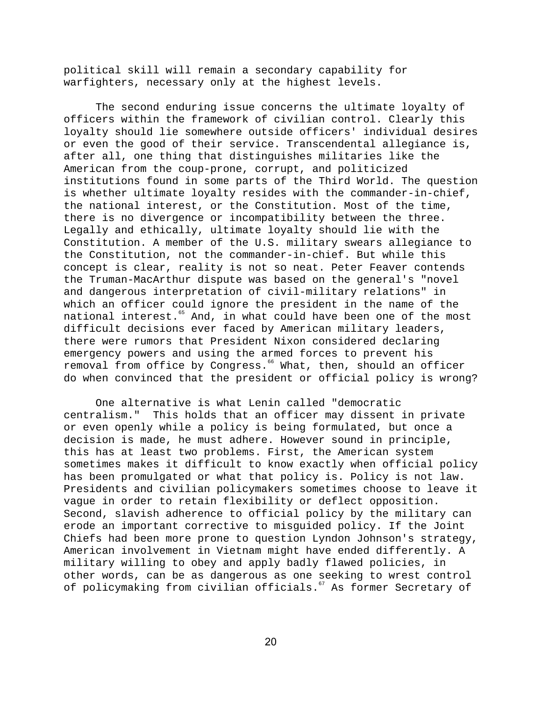political skill will remain a secondary capability for warfighters, necessary only at the highest levels.

The second enduring issue concerns the ultimate loyalty of officers within the framework of civilian control. Clearly this loyalty should lie somewhere outside officers' individual desires or even the good of their service. Transcendental allegiance is, after all, one thing that distinguishes militaries like the American from the coup-prone, corrupt, and politicized institutions found in some parts of the Third World. The question is whether ultimate loyalty resides with the commander-in-chief, the national interest, or the Constitution. Most of the time, there is no divergence or incompatibility between the three. Legally and ethically, ultimate loyalty should lie with the Constitution. A member of the U.S. military swears allegiance to the Constitution, not the commander-in-chief. But while this concept is clear, reality is not so neat. Peter Feaver contends the Truman-MacArthur dispute was based on the general's "novel and dangerous interpretation of civil-military relations" in which an officer could ignore the president in the name of the national interest.<sup>65</sup> And, in what could have been one of the most difficult decisions ever faced by American military leaders, there were rumors that President Nixon considered declaring emergency powers and using the armed forces to prevent his removal from office by Congress.<sup>66</sup> What, then, should an officer do when convinced that the president or official policy is wrong?

One alternative is what Lenin called "democratic centralism." This holds that an officer may dissent in private or even openly while a policy is being formulated, but once a decision is made, he must adhere. However sound in principle, this has at least two problems. First, the American system sometimes makes it difficult to know exactly when official policy has been promulgated or what that policy is. Policy is not law. Presidents and civilian policymakers sometimes choose to leave it vague in order to retain flexibility or deflect opposition. Second, slavish adherence to official policy by the military can erode an important corrective to misguided policy. If the Joint Chiefs had been more prone to question Lyndon Johnson's strategy, American involvement in Vietnam might have ended differently. A military willing to obey and apply badly flawed policies, in other words, can be as dangerous as one seeking to wrest control of policymaking from civilian officials.<sup>67</sup> As former Secretary of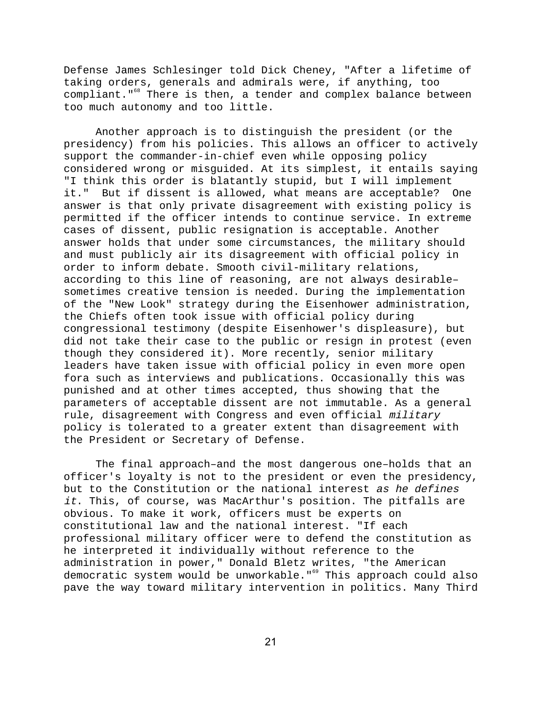Defense James Schlesinger told Dick Cheney, "After a lifetime of taking orders, generals and admirals were, if anything, too compliant."<sup>68</sup> There is then, a tender and complex balance between too much autonomy and too little.

Another approach is to distinguish the president (or the presidency) from his policies. This allows an officer to actively support the commander-in-chief even while opposing policy considered wrong or misguided. At its simplest, it entails saying "I think this order is blatantly stupid, but I will implement it." But if dissent is allowed, what means are acceptable? One answer is that only private disagreement with existing policy is permitted if the officer intends to continue service. In extreme cases of dissent, public resignation is acceptable. Another answer holds that under some circumstances, the military should and must publicly air its disagreement with official policy in order to inform debate. Smooth civil-military relations, according to this line of reasoning, are not always desirable– sometimes creative tension is needed. During the implementation of the "New Look" strategy during the Eisenhower administration, the Chiefs often took issue with official policy during congressional testimony (despite Eisenhower's displeasure), but did not take their case to the public or resign in protest (even though they considered it). More recently, senior military leaders have taken issue with official policy in even more open fora such as interviews and publications. Occasionally this was punished and at other times accepted, thus showing that the parameters of acceptable dissent are not immutable. As a general rule, disagreement with Congress and even official military policy is tolerated to a greater extent than disagreement with the President or Secretary of Defense.

The final approach–and the most dangerous one–holds that an officer's loyalty is not to the president or even the presidency, but to the Constitution or the national interest as he defines it. This, of course, was MacArthur's position. The pitfalls are obvious. To make it work, officers must be experts on constitutional law and the national interest. "If each professional military officer were to defend the constitution as he interpreted it individually without reference to the administration in power," Donald Bletz writes, "the American democratic system would be unworkable."<sup>69</sup> This approach could also pave the way toward military intervention in politics. Many Third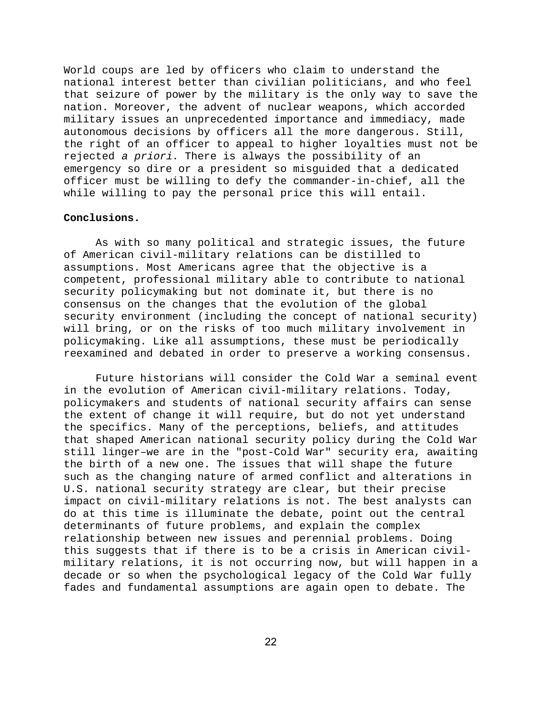World coups are led by officers who claim to understand the national interest better than civilian politicians, and who feel that seizure of power by the military is the only way to save the nation. Moreover, the advent of nuclear weapons, which accorded military issues an unprecedented importance and immediacy, made autonomous decisions by officers all the more dangerous. Still, the right of an officer to appeal to higher loyalties must not be rejected a priori. There is always the possibility of an emergency so dire or a president so misguided that a dedicated officer must be willing to defy the commander-in-chief, all the while willing to pay the personal price this will entail.

### **Conclusions.**

As with so many political and strategic issues, the future of American civil-military relations can be distilled to assumptions. Most Americans agree that the objective is a competent, professional military able to contribute to national security policymaking but not dominate it, but there is no consensus on the changes that the evolution of the global security environment (including the concept of national security) will bring, or on the risks of too much military involvement in policymaking. Like all assumptions, these must be periodically reexamined and debated in order to preserve a working consensus.

Future historians will consider the Cold War a seminal event in the evolution of American civil-military relations. Today, policymakers and students of national security affairs can sense the extent of change it will require, but do not yet understand the specifics. Many of the perceptions, beliefs, and attitudes that shaped American national security policy during the Cold War still linger–we are in the "post-Cold War" security era, awaiting the birth of a new one. The issues that will shape the future such as the changing nature of armed conflict and alterations in U.S. national security strategy are clear, but their precise impact on civil-military relations is not. The best analysts can do at this time is illuminate the debate, point out the central determinants of future problems, and explain the complex relationship between new issues and perennial problems. Doing this suggests that if there is to be a crisis in American civilmilitary relations, it is not occurring now, but will happen in a decade or so when the psychological legacy of the Cold War fully fades and fundamental assumptions are again open to debate. The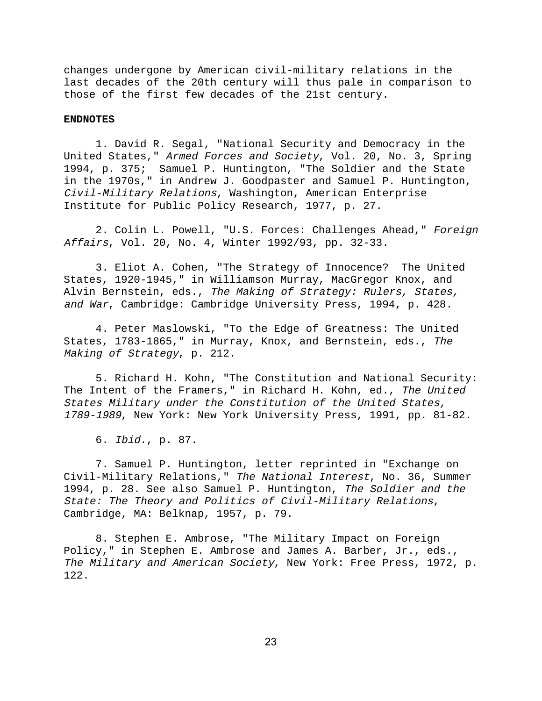changes undergone by American civil-military relations in the last decades of the 20th century will thus pale in comparison to those of the first few decades of the 21st century.

## **ENDNOTES**

1. David R. Segal, "National Security and Democracy in the United States," Armed Forces and Society, Vol. 20, No. 3, Spring 1994, p. 375; Samuel P. Huntington, "The Soldier and the State in the 1970s," in Andrew J. Goodpaster and Samuel P. Huntington, Civil-Military Relations, Washington, American Enterprise Institute for Public Policy Research, 1977, p. 27.

2. Colin L. Powell, "U.S. Forces: Challenges Ahead," Foreign Affairs, Vol. 20, No. 4, Winter 1992/93, pp. 32-33.

3. Eliot A. Cohen, "The Strategy of Innocence? The United States, 1920-1945," in Williamson Murray, MacGregor Knox, and Alvin Bernstein, eds., The Making of Strategy: Rulers, States, and War, Cambridge: Cambridge University Press, 1994, p. 428.

4. Peter Maslowski, "To the Edge of Greatness: The United States, 1783-1865," in Murray, Knox, and Bernstein, eds., The Making of Strategy, p. 212.

5. Richard H. Kohn, "The Constitution and National Security: The Intent of the Framers," in Richard H. Kohn, ed., The United States Military under the Constitution of the United States, 1789-1989, New York: New York University Press, 1991, pp. 81-82.

6. Ibid., p. 87.

7. Samuel P. Huntington, letter reprinted in "Exchange on Civil-Military Relations," The National Interest, No. 36, Summer 1994, p. 28. See also Samuel P. Huntington, The Soldier and the State: The Theory and Politics of Civil-Military Relations, Cambridge, MA: Belknap, 1957, p. 79.

8. Stephen E. Ambrose, "The Military Impact on Foreign Policy," in Stephen E. Ambrose and James A. Barber, Jr., eds., The Military and American Society, New York: Free Press, 1972, p. 122.

23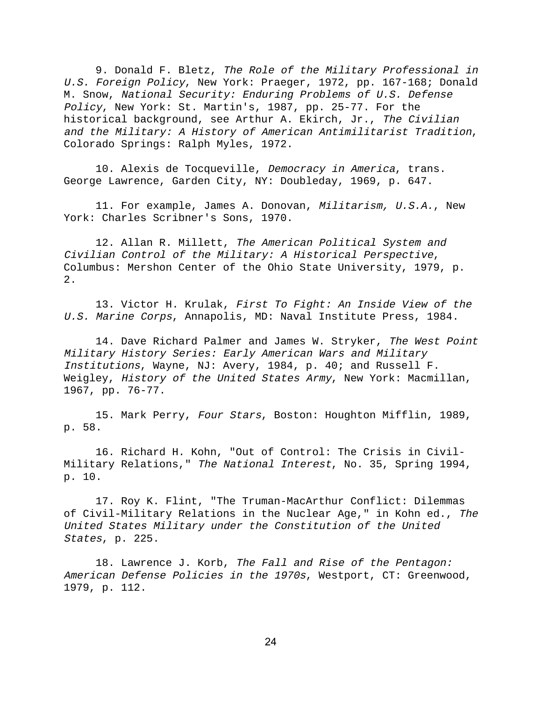9. Donald F. Bletz, The Role of the Military Professional in U.S. Foreign Policy, New York: Praeger, 1972, pp. 167-168; Donald M. Snow, National Security: Enduring Problems of U.S. Defense Policy, New York: St. Martin's, 1987, pp. 25-77. For the historical background, see Arthur A. Ekirch, Jr., The Civilian and the Military: A History of American Antimilitarist Tradition, Colorado Springs: Ralph Myles, 1972.

10. Alexis de Tocqueville, Democracy in America, trans. George Lawrence, Garden City, NY: Doubleday, 1969, p. 647.

11. For example, James A. Donovan, Militarism, U.S.A., New York: Charles Scribner's Sons, 1970.

12. Allan R. Millett, The American Political System and Civilian Control of the Military: A Historical Perspective, Columbus: Mershon Center of the Ohio State University, 1979, p.  $2.$ 

13. Victor H. Krulak, First To Fight: An Inside View of the U.S. Marine Corps, Annapolis, MD: Naval Institute Press, 1984.

14. Dave Richard Palmer and James W. Stryker, The West Point Military History Series: Early American Wars and Military Institutions, Wayne, NJ: Avery, 1984, p. 40; and Russell F. Weigley, History of the United States Army, New York: Macmillan, 1967, pp. 76-77.

15. Mark Perry, Four Stars, Boston: Houghton Mifflin, 1989, p. 58.

16. Richard H. Kohn, "Out of Control: The Crisis in Civil-Military Relations," The National Interest, No. 35, Spring 1994, p. 10.

17. Roy K. Flint, "The Truman-MacArthur Conflict: Dilemmas of Civil-Military Relations in the Nuclear Age," in Kohn ed., The United States Military under the Constitution of the United States, p. 225.

18. Lawrence J. Korb, The Fall and Rise of the Pentagon: American Defense Policies in the 1970s, Westport, CT: Greenwood, 1979, p. 112.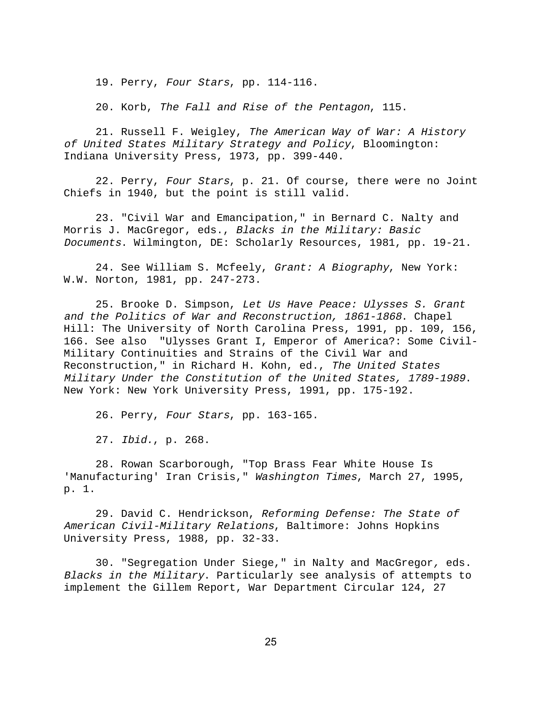19. Perry, Four Stars, pp. 114-116.

20. Korb, The Fall and Rise of the Pentagon, 115.

21. Russell F. Weigley, The American Way of War: A History of United States Military Strategy and Policy, Bloomington: Indiana University Press, 1973, pp. 399-440.

22. Perry, Four Stars, p. 21. Of course, there were no Joint Chiefs in 1940, but the point is still valid.

23. "Civil War and Emancipation," in Bernard C. Nalty and Morris J. MacGregor, eds., Blacks in the Military: Basic Documents. Wilmington, DE: Scholarly Resources, 1981, pp. 19-21.

24. See William S. Mcfeely, Grant: A Biography, New York: W.W. Norton, 1981, pp. 247-273.

25. Brooke D. Simpson, Let Us Have Peace: Ulysses S. Grant and the Politics of War and Reconstruction, 1861-1868. Chapel Hill: The University of North Carolina Press, 1991, pp. 109, 156, 166. See also "Ulysses Grant I, Emperor of America?: Some Civil-Military Continuities and Strains of the Civil War and Reconstruction," in Richard H. Kohn, ed., The United States Military Under the Constitution of the United States, 1789-1989. New York: New York University Press, 1991, pp. 175-192.

26. Perry, Four Stars, pp. 163-165.

27. Ibid., p. 268.

28. Rowan Scarborough, "Top Brass Fear White House Is 'Manufacturing' Iran Crisis," Washington Times, March 27, 1995, p. 1.

29. David C. Hendrickson, Reforming Defense: The State of American Civil-Military Relations, Baltimore: Johns Hopkins University Press, 1988, pp. 32-33.

30. "Segregation Under Siege," in Nalty and MacGregor, eds. Blacks in the Military. Particularly see analysis of attempts to implement the Gillem Report, War Department Circular 124, 27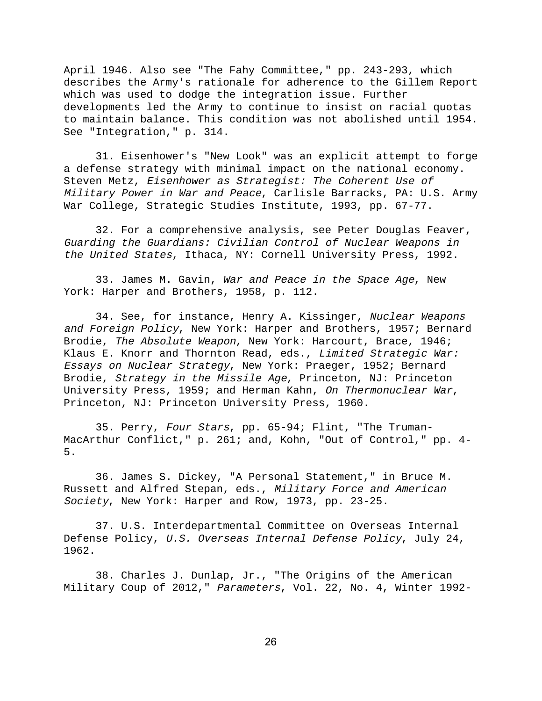April 1946. Also see "The Fahy Committee," pp. 243-293, which describes the Army's rationale for adherence to the Gillem Report which was used to dodge the integration issue. Further developments led the Army to continue to insist on racial quotas to maintain balance. This condition was not abolished until 1954. See "Integration," p. 314.

31. Eisenhower's "New Look" was an explicit attempt to forge a defense strategy with minimal impact on the national economy. Steven Metz, Eisenhower as Strategist: The Coherent Use of Military Power in War and Peace, Carlisle Barracks, PA: U.S. Army War College, Strategic Studies Institute, 1993, pp. 67-77.

32. For a comprehensive analysis, see Peter Douglas Feaver, Guarding the Guardians: Civilian Control of Nuclear Weapons in the United States, Ithaca, NY: Cornell University Press, 1992.

33. James M. Gavin, War and Peace in the Space Age, New York: Harper and Brothers, 1958, p. 112.

34. See, for instance, Henry A. Kissinger, Nuclear Weapons and Foreign Policy, New York: Harper and Brothers, 1957; Bernard Brodie, The Absolute Weapon, New York: Harcourt, Brace, 1946; Klaus E. Knorr and Thornton Read, eds., Limited Strategic War: Essays on Nuclear Strategy, New York: Praeger, 1952; Bernard Brodie, Strategy in the Missile Age, Princeton, NJ: Princeton University Press, 1959; and Herman Kahn, On Thermonuclear War, Princeton, NJ: Princeton University Press, 1960.

35. Perry, Four Stars, pp. 65-94; Flint, "The Truman-MacArthur Conflict," p. 261; and, Kohn, "Out of Control," pp. 4- 5.

36. James S. Dickey, "A Personal Statement," in Bruce M. Russett and Alfred Stepan, eds., Military Force and American Society, New York: Harper and Row, 1973, pp. 23-25.

37. U.S. Interdepartmental Committee on Overseas Internal Defense Policy, U.S. Overseas Internal Defense Policy, July 24, 1962.

38. Charles J. Dunlap, Jr., "The Origins of the American Military Coup of 2012," Parameters, Vol. 22, No. 4, Winter 1992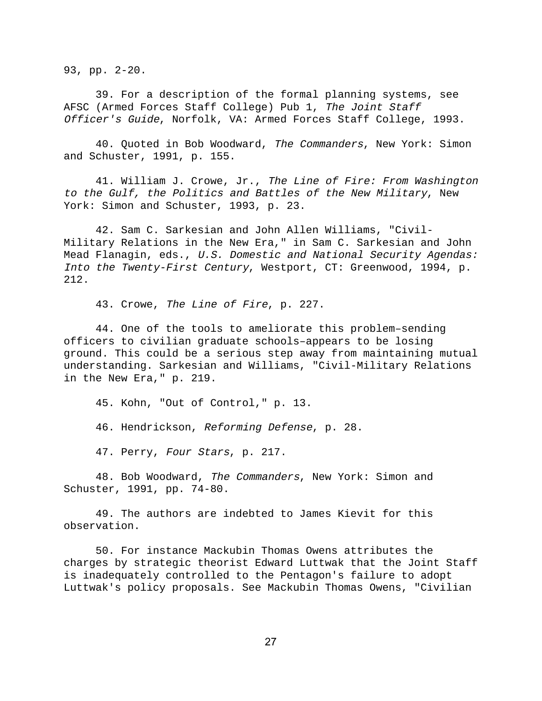93, pp. 2-20.

39. For a description of the formal planning systems, see AFSC (Armed Forces Staff College) Pub 1, The Joint Staff Officer's Guide, Norfolk, VA: Armed Forces Staff College, 1993.

40. Quoted in Bob Woodward, The Commanders, New York: Simon and Schuster, 1991, p. 155.

41. William J. Crowe, Jr., The Line of Fire: From Washington to the Gulf, the Politics and Battles of the New Military, New York: Simon and Schuster, 1993, p. 23.

42. Sam C. Sarkesian and John Allen Williams, "Civil-Military Relations in the New Era," in Sam C. Sarkesian and John Mead Flanagin, eds., U.S. Domestic and National Security Agendas: Into the Twenty-First Century, Westport, CT: Greenwood, 1994, p. 212.

43. Crowe, The Line of Fire, p. 227.

44. One of the tools to ameliorate this problem–sending officers to civilian graduate schools–appears to be losing ground. This could be a serious step away from maintaining mutual understanding. Sarkesian and Williams, "Civil-Military Relations in the New Era," p. 219.

45. Kohn, "Out of Control," p. 13.

46. Hendrickson, Reforming Defense, p. 28.

47. Perry, Four Stars, p. 217.

48. Bob Woodward, The Commanders, New York: Simon and Schuster, 1991, pp. 74-80.

49. The authors are indebted to James Kievit for this observation.

50. For instance Mackubin Thomas Owens attributes the charges by strategic theorist Edward Luttwak that the Joint Staff is inadequately controlled to the Pentagon's failure to adopt Luttwak's policy proposals. See Mackubin Thomas Owens, "Civilian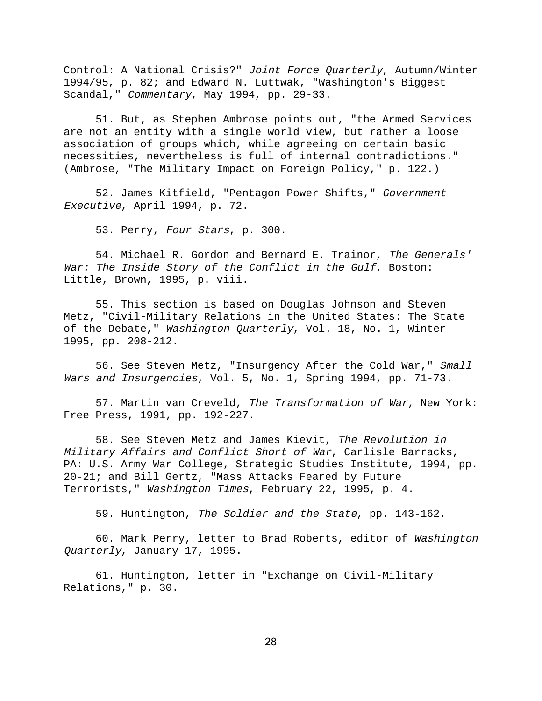Control: A National Crisis?" Joint Force Quarterly, Autumn/Winter 1994/95, p. 82; and Edward N. Luttwak, "Washington's Biggest Scandal," Commentary, May 1994, pp. 29-33.

51. But, as Stephen Ambrose points out, "the Armed Services are not an entity with a single world view, but rather a loose association of groups which, while agreeing on certain basic necessities, nevertheless is full of internal contradictions." (Ambrose, "The Military Impact on Foreign Policy," p. 122.)

52. James Kitfield, "Pentagon Power Shifts," Government Executive, April 1994, p. 72.

53. Perry, Four Stars, p. 300.

54. Michael R. Gordon and Bernard E. Trainor, The Generals' War: The Inside Story of the Conflict in the Gulf, Boston: Little, Brown, 1995, p. viii.

55. This section is based on Douglas Johnson and Steven Metz, "Civil-Military Relations in the United States: The State of the Debate," Washington Quarterly, Vol. 18, No. 1, Winter 1995, pp. 208-212.

56. See Steven Metz, "Insurgency After the Cold War," Small Wars and Insurgencies, Vol. 5, No. 1, Spring 1994, pp. 71-73.

57. Martin van Creveld, The Transformation of War, New York: Free Press, 1991, pp. 192-227.

58. See Steven Metz and James Kievit, The Revolution in Military Affairs and Conflict Short of War, Carlisle Barracks, PA: U.S. Army War College, Strategic Studies Institute, 1994, pp. 20-21; and Bill Gertz, "Mass Attacks Feared by Future Terrorists," Washington Times, February 22, 1995, p. 4.

59. Huntington, The Soldier and the State, pp. 143-162.

60. Mark Perry, letter to Brad Roberts, editor of Washington Quarterly, January 17, 1995.

61. Huntington, letter in "Exchange on Civil-Military Relations," p. 30.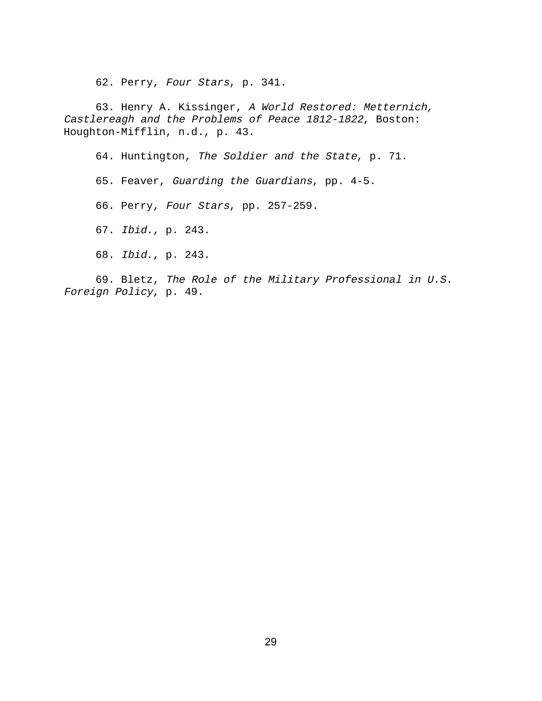62. Perry, Four Stars, p. 341.

63. Henry A. Kissinger, A World Restored: Metternich, Castlereagh and the Problems of Peace 1812-1822, Boston: Houghton-Mifflin, n.d., p. 43.

64. Huntington, The Soldier and the State, p. 71.

65. Feaver, Guarding the Guardians, pp. 4-5.

66. Perry, Four Stars, pp. 257-259.

67. Ibid., p. 243.

68. Ibid., p. 243.

69. Bletz, The Role of the Military Professional in U.S. Foreign Policy, p. 49.